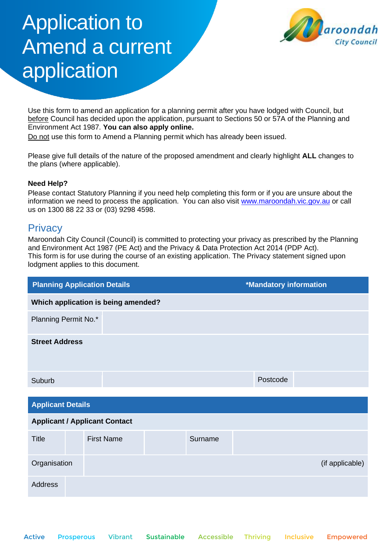# Application to Amend a current application



Use this form to amend an application for a planning permit after you have lodged with Council, but before Council has decided upon the application, pursuant to Sections 50 or 57A of the Planning and Environment Act 1987. **You can also apply online.**

Do not use this form to Amend a Planning permit which has already been issued.

Please give full details of the nature of the proposed amendment and clearly highlight **ALL** changes to the plans (where applicable).

## **Need Help?**

Please contact Statutory Planning if you need help completing this form or if you are unsure about the information we need to process the application. You can also visit [www.maroondah.vic.gov.au](http://www.maroondah.vic.gov.au/) or call us on 1300 88 22 33 or (03) 9298 4598.

# **Privacy**

Maroondah City Council (Council) is committed to protecting your privacy as prescribed by the Planning and Environment Act 1987 (PE Act) and the Privacy & Data Protection Act 2014 (PDP Act). This form is for use during the course of an existing application. The Privacy statement signed upon lodgment applies to this document.

| <b>Planning Application Details</b>  |  |                                     |  | <b>*Mandatory information</b> |  |          |  |                 |
|--------------------------------------|--|-------------------------------------|--|-------------------------------|--|----------|--|-----------------|
|                                      |  | Which application is being amended? |  |                               |  |          |  |                 |
| Planning Permit No.*                 |  |                                     |  |                               |  |          |  |                 |
| <b>Street Address</b>                |  |                                     |  |                               |  |          |  |                 |
| Suburb                               |  |                                     |  |                               |  | Postcode |  |                 |
| <b>Applicant Details</b>             |  |                                     |  |                               |  |          |  |                 |
| <b>Applicant / Applicant Contact</b> |  |                                     |  |                               |  |          |  |                 |
| <b>Title</b>                         |  | <b>First Name</b>                   |  | Surname                       |  |          |  |                 |
| Organisation                         |  |                                     |  |                               |  |          |  | (if applicable) |
| <b>Address</b>                       |  |                                     |  |                               |  |          |  |                 |